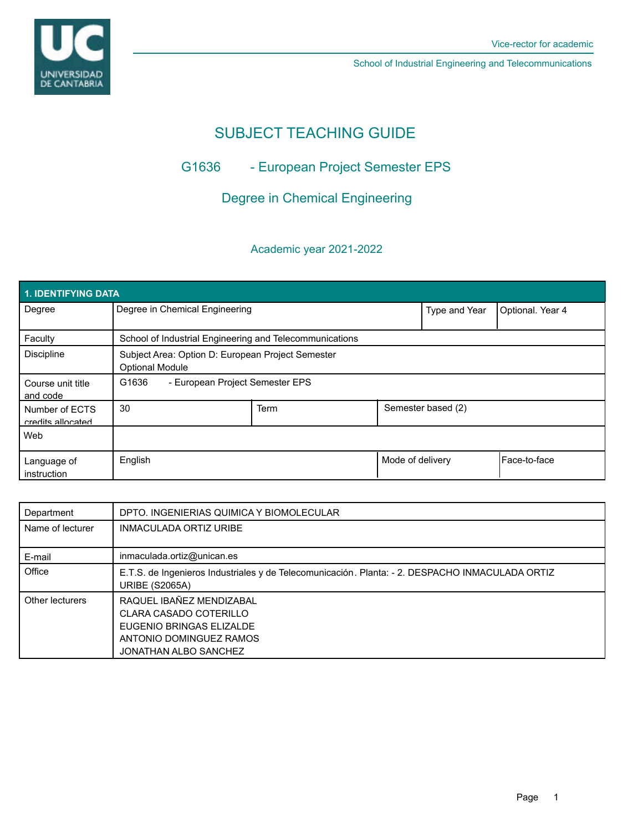UNIVERSIDAD<br>DE CANTABRIA

School of Industrial Engineering and Telecommunications

# SUBJECT TEACHING GUIDE

# G1636 - European Project Semester EPS

# Degree in Chemical Engineering

## Academic year 2021-2022

| <b>1. IDENTIFYING DATA</b>          |                                                                             |      |                  |                    |                      |  |  |  |
|-------------------------------------|-----------------------------------------------------------------------------|------|------------------|--------------------|----------------------|--|--|--|
| Degree                              | Degree in Chemical Engineering                                              |      |                  | Type and Year      | Optional. Year 4     |  |  |  |
| Faculty                             | School of Industrial Engineering and Telecommunications                     |      |                  |                    |                      |  |  |  |
| Discipline                          | Subject Area: Option D: European Project Semester<br><b>Optional Module</b> |      |                  |                    |                      |  |  |  |
| Course unit title<br>and code       | G1636<br>- European Project Semester EPS                                    |      |                  |                    |                      |  |  |  |
| Number of ECTS<br>credits allocated | 30                                                                          | Term |                  | Semester based (2) |                      |  |  |  |
| Web                                 |                                                                             |      |                  |                    |                      |  |  |  |
| Language of<br>instruction          | English                                                                     |      | Mode of delivery |                    | <b>IFace-to-face</b> |  |  |  |

| Department       | DPTO. INGENIERIAS QUIMICA Y BIOMOLECULAR                                                                                           |
|------------------|------------------------------------------------------------------------------------------------------------------------------------|
| Name of lecturer | <b>INMACULADA ORTIZ URIBE</b>                                                                                                      |
| E-mail           | inmaculada.ortiz@unican.es                                                                                                         |
| Office           | E.T.S. de Ingenieros Industriales y de Telecomunicación. Planta: - 2. DESPACHO INMACULADA ORTIZ<br><b>URIBE (S2065A)</b>           |
| Other lecturers  | RAQUEL IBAÑEZ MENDIZABAL<br>CLARA CASADO COTERILLO<br>EUGENIO BRINGAS ELIZALDE<br>ANTONIO DOMINGUEZ RAMOS<br>JONATHAN ALBO SANCHEZ |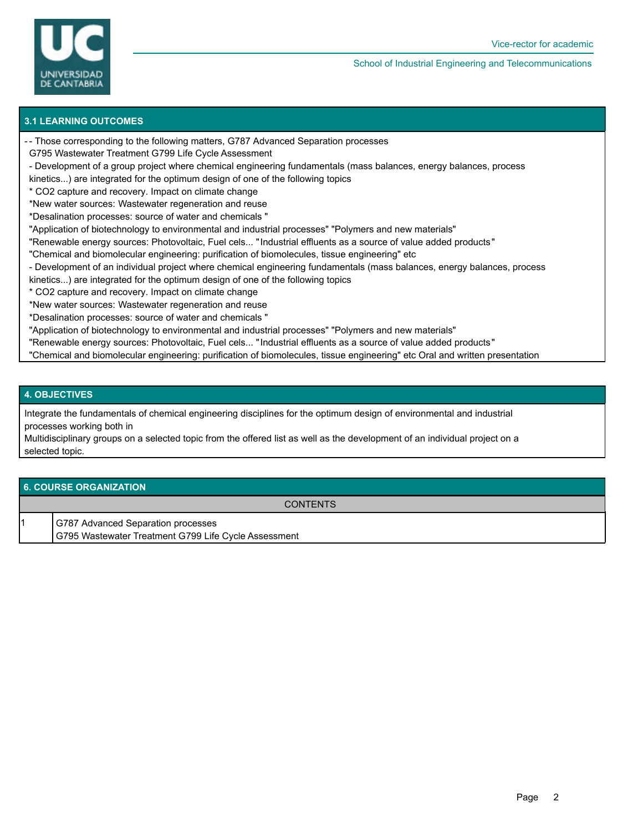

#### School of Industrial Engineering and Telecommunications

### **3.1 LEARNING OUTCOMES**

- Those corresponding to the following matters, G787 Advanced Separation processes -
- G795 Wastewater Treatment G799 Life Cycle Assessment
- Development of a group project where chemical engineering fundamentals (mass balances, energy balances, process
- kinetics...) are integrated for the optimum design of one of the following topics
- \* CO2 capture and recovery. Impact on climate change
- \*New water sources: Wastewater regeneration and reuse
- \*Desalination processes: source of water and chemicals "
- "Application of biotechnology to environmental and industrial processes" "Polymers and new materials"
- "Renewable energy sources: Photovoltaic, Fuel cels... "Industrial effluents as a source of value added products"
- "Chemical and biomolecular engineering: purification of biomolecules, tissue engineering" etc
- Development of an individual project where chemical engineering fundamentals (mass balances, energy balances, process
- kinetics...) are integrated for the optimum design of one of the following topics
- \* CO2 capture and recovery. Impact on climate change
- \*New water sources: Wastewater regeneration and reuse
- \*Desalination processes: source of water and chemicals "
- "Application of biotechnology to environmental and industrial processes" "Polymers and new materials"
- "Renewable energy sources: Photovoltaic, Fuel cels... "Industrial effluents as a source of value added products"
- "Chemical and biomolecular engineering: purification of biomolecules, tissue engineering" etc Oral and written presentation

### **4. OBJECTIVES**

Integrate the fundamentals of chemical engineering disciplines for the optimum design of environmental and industrial processes working both in

Multidisciplinary groups on a selected topic from the offered list as well as the development of an individual project on a selected topic.

#### **6. COURSE ORGANIZATION**

**CONTENTS** 

- 1 G787 Advanced Separation processes
	- G795 Wastewater Treatment G799 Life Cycle Assessment